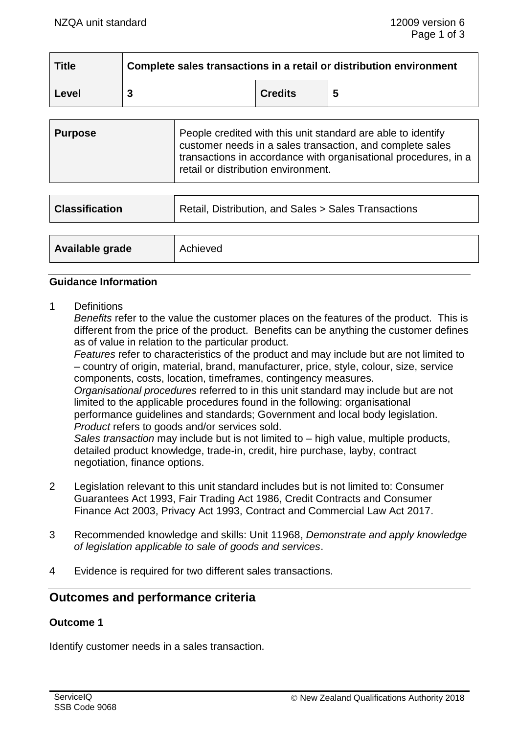| <b>Title</b> | Complete sales transactions in a retail or distribution environment |                |  |  |
|--------------|---------------------------------------------------------------------|----------------|--|--|
| Level        |                                                                     | <b>Credits</b> |  |  |

| <b>Purpose</b> | People credited with this unit standard are able to identify<br>customer needs in a sales transaction, and complete sales<br>transactions in accordance with organisational procedures, in a<br>retail or distribution environment. |
|----------------|-------------------------------------------------------------------------------------------------------------------------------------------------------------------------------------------------------------------------------------|
|                |                                                                                                                                                                                                                                     |

| <b>Classification</b> | Retail, Distribution, and Sales > Sales Transactions |  |  |
|-----------------------|------------------------------------------------------|--|--|
|                       |                                                      |  |  |
| Available grade       | Achieved                                             |  |  |

#### **Guidance Information**

1 Definitions

*Benefits* refer to the value the customer places on the features of the product. This is different from the price of the product. Benefits can be anything the customer defines as of value in relation to the particular product.

*Features* refer to characteristics of the product and may include but are not limited to – country of origin, material, brand, manufacturer, price, style, colour, size, service components, costs, location, timeframes, contingency measures.

*Organisational procedures* referred to in this unit standard may include but are not limited to the applicable procedures found in the following: organisational performance guidelines and standards; Government and local body legislation. *Product* refers to goods and/or services sold.

*Sales transaction* may include but is not limited to – high value, multiple products, detailed product knowledge, trade-in, credit, hire purchase, layby, contract negotiation, finance options.

- 2 Legislation relevant to this unit standard includes but is not limited to: Consumer Guarantees Act 1993, Fair Trading Act 1986, Credit Contracts and Consumer Finance Act 2003, Privacy Act 1993, Contract and Commercial Law Act 2017.
- 3 Recommended knowledge and skills: Unit 11968, *Demonstrate and apply knowledge of legislation applicable to sale of goods and services*.
- 4 Evidence is required for two different sales transactions.

## **Outcomes and performance criteria**

#### **Outcome 1**

Identify customer needs in a sales transaction.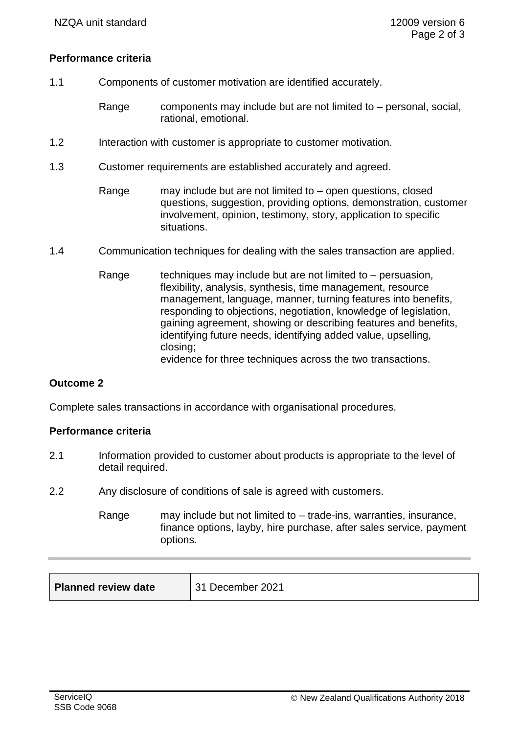### **Performance criteria**

- 1.1 Components of customer motivation are identified accurately.
	- Range components may include but are not limited to personal, social, rational, emotional.
- 1.2 Interaction with customer is appropriate to customer motivation.
- 1.3 Customer requirements are established accurately and agreed.
	- Range may include but are not limited to open questions, closed questions, suggestion, providing options, demonstration, customer involvement, opinion, testimony, story, application to specific situations.
- 1.4 Communication techniques for dealing with the sales transaction are applied.
	- Range techniques may include but are not limited to  $-$  persuasion, flexibility, analysis, synthesis, time management, resource management, language, manner, turning features into benefits, responding to objections, negotiation, knowledge of legislation, gaining agreement, showing or describing features and benefits, identifying future needs, identifying added value, upselling, closing; evidence for three techniques across the two transactions.

### **Outcome 2**

Complete sales transactions in accordance with organisational procedures.

### **Performance criteria**

- 2.1 Information provided to customer about products is appropriate to the level of detail required.
- 2.2 Any disclosure of conditions of sale is agreed with customers.

Range may include but not limited to – trade-ins, warranties, insurance, finance options, layby, hire purchase, after sales service, payment options.

| <b>Planned review date</b> | 31 December 2021 |
|----------------------------|------------------|
|----------------------------|------------------|